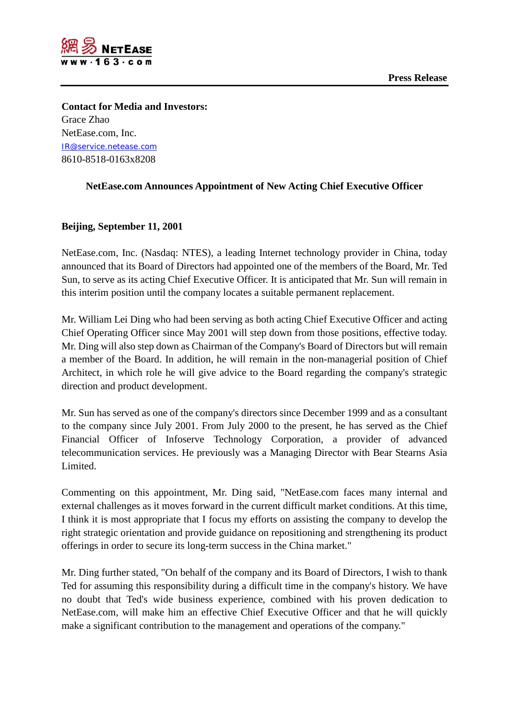



**Contact for Media and Investors:** Grace Zhao NetEase.com, Inc. [IR@service.netease.com](mailto:IR@service.netease.com) 8610-8518-0163x8208

## **NetEase.com Announces Appointment of New Acting Chief Executive Officer**

## **Beijing, September 11, 2001**

NetEase.com, Inc. (Nasdaq: NTES), a leading Internet technology provider in China, today announced that its Board of Directors had appointed one of the members of the Board, Mr. Ted Sun, to serve as its acting Chief Executive Officer. It is anticipated that Mr. Sun will remain in this interim position until the company locates a suitable permanent replacement.

Mr. William Lei Ding who had been serving as both acting Chief Executive Officer and acting Chief Operating Officer since May 2001 will step down from those positions, effective today. Mr. Ding will also step down as Chairman of the Company's Board of Directors but will remain a member of the Board. In addition, he will remain in the non-managerial position of Chief Architect, in which role he will give advice to the Board regarding the company's strategic direction and product development.

Mr. Sun has served as one of the company's directors since December 1999 and as a consultant to the company since July 2001. From July 2000 to the present, he has served as the Chief Financial Officer of Infoserve Technology Corporation, a provider of advanced telecommunication services. He previously was a Managing Director with Bear Stearns Asia Limited.

Commenting on this appointment, Mr. Ding said, "NetEase.com faces many internal and external challenges as it moves forward in the current difficult market conditions. At this time, I think it is most appropriate that I focus my efforts on assisting the company to develop the right strategic orientation and provide guidance on repositioning and strengthening its product offerings in order to secure its long-term success in the China market."

Mr. Ding further stated, "On behalf of the company and its Board of Directors, I wish to thank Ted for assuming this responsibility during a difficult time in the company's history. We have no doubt that Ted's wide business experience, combined with his proven dedication to NetEase.com, will make him an effective Chief Executive Officer and that he will quickly make a significant contribution to the management and operations of the company."